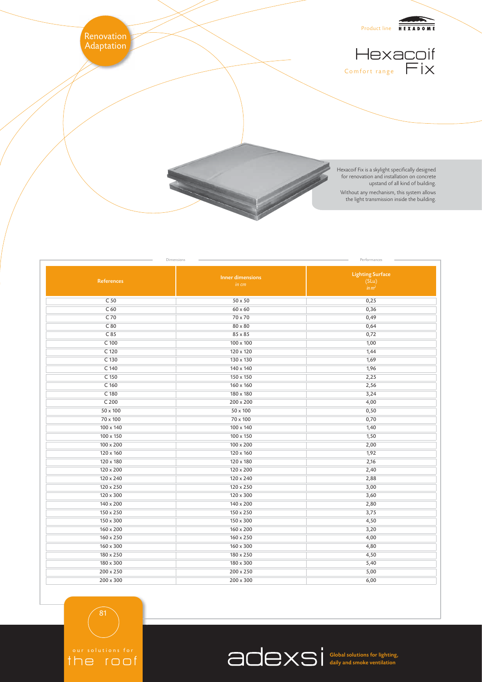

Dimensions **Performances Performances Performances Performances Performances** 

| References       | <b>Inner dimensions</b><br>in cm | <b>Lighting Surface</b><br>(SLu)<br>$\lim m^2$ |
|------------------|----------------------------------|------------------------------------------------|
| C <sub>50</sub>  | $50 \times 50$                   | 0,25                                           |
| C <sub>60</sub>  | $60 \times 60$                   | 0,36                                           |
| C 70             | 70 x 70                          | 0,49                                           |
| C80              | $80 \times 80$                   | 0,64                                           |
| C85              | 85 x 85                          | 0,72                                           |
| $C$ 100          | $100 \times 100$                 | 1,00                                           |
| $C$ 120          | $120 \times 120$                 | 1,44                                           |
| C 130            | 130 x 130                        | 1,69                                           |
| $C$ 140          | 140 x 140                        | 1,96                                           |
| C 150            | $150 \times 150$                 | 2,25                                           |
| C <sub>160</sub> | $160 \times 160$                 | 2,56                                           |
| C 180            | 180 x 180                        | 3,24                                           |
| C <sub>200</sub> | $200 \times 200$                 | 4,00                                           |
| $50 \times 100$  | 50 x 100                         | 0,50                                           |
| 70 x 100         | 70 x 100                         | 0,70                                           |
| $100 \times 140$ | $100 \times 140$                 | 1,40                                           |
| $100 \times 150$ | 100 x 150                        | 1,50                                           |
| $100 \times 200$ | $100 \times 200$                 | 2,00                                           |
| 120 x 160        | 120 x 160                        | 1,92                                           |
| 120 x 180        | $120 \times 180$                 | 2,16                                           |
| 120 x 200        | $120 \times 200$                 | 2,40                                           |
| $120 \times 240$ | 120 x 240                        | 2,88                                           |
| $120 \times 250$ | 120 x 250                        | 3,00                                           |
| $120 \times 300$ | $120 \times 300$                 | 3,60                                           |
| $140 \times 200$ | $140 \times 200$                 | 2,80                                           |
| $150 \times 250$ | 150 x 250                        | 3,75                                           |
| $150 \times 300$ | $150 \times 300$                 | 4,50                                           |
| $160 \times 200$ | $160 \times 200$                 | 3,20                                           |
| $160 \times 250$ | 160 x 250                        | 4,00                                           |
| $160 \times 300$ | $160 \times 300$                 | 4,80                                           |
| 180 x 250        | 180 x 250                        | 4,50                                           |
| 180 x 300        | $180 \times 300$                 | 5,40                                           |
| $200 \times 250$ | $200 \times 250$                 | 5,00                                           |
| $200 \times 300$ | $200 \times 300$                 | 6,00                                           |

81

the roof

Global solutions for lighting, daily and smoke ventilation